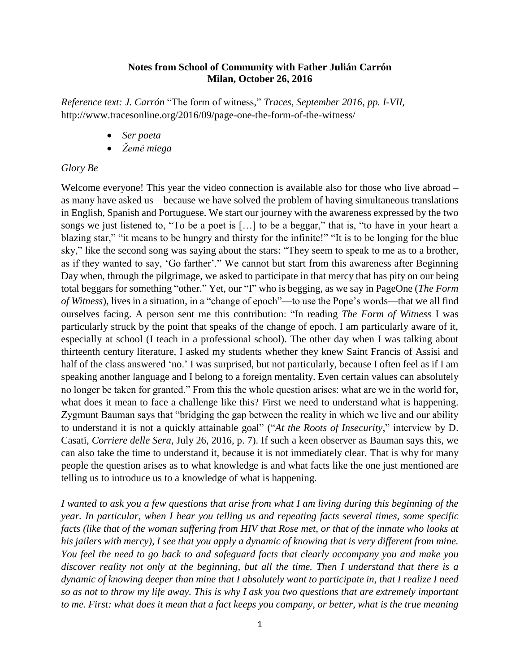## **Notes from School of Community with Father Julián Carrón Milan, October 26, 2016**

*Reference text: J. Carrón* "The form of witness," *Traces, September 2016*, *pp. I-VII*, http://www.tracesonline.org/2016/09/page-one-the-form-of-the-witness/

- *Ser poeta*
- *Žemė miega*

## *Glory Be*

Welcome everyone! This year the video connection is available also for those who live abroad – as many have asked us—because we have solved the problem of having simultaneous translations in English, Spanish and Portuguese. We start our journey with the awareness expressed by the two songs we just listened to, "To be a poet is [...] to be a beggar," that is, "to have in your heart a blazing star," "it means to be hungry and thirsty for the infinite!" "It is to be longing for the blue sky," like the second song was saying about the stars: "They seem to speak to me as to a brother, as if they wanted to say, 'Go farther'." We cannot but start from this awareness after Beginning Day when, through the pilgrimage, we asked to participate in that mercy that has pity on our being total beggars for something "other." Yet, our "I" who is begging, as we say in PageOne (*The Form of Witness*), lives in a situation, in a "change of epoch"—to use the Pope's words—that we all find ourselves facing. A person sent me this contribution: "In reading *The Form of Witness* I was particularly struck by the point that speaks of the change of epoch. I am particularly aware of it, especially at school (I teach in a professional school). The other day when I was talking about thirteenth century literature, I asked my students whether they knew Saint Francis of Assisi and half of the class answered 'no.' I was surprised, but not particularly, because I often feel as if I am speaking another language and I belong to a foreign mentality. Even certain values can absolutely no longer be taken for granted." From this the whole question arises: what are we in the world for, what does it mean to face a challenge like this? First we need to understand what is happening. Zygmunt Bauman says that "bridging the gap between the reality in which we live and our ability to understand it is not a quickly attainable goal" ("*At the Roots of Insecurity*," interview by D. Casati, *Corriere delle Sera*, July 26, 2016, p. 7). If such a keen observer as Bauman says this, we can also take the time to understand it, because it is not immediately clear. That is why for many people the question arises as to what knowledge is and what facts like the one just mentioned are telling us to introduce us to a knowledge of what is happening.

*I wanted to ask you a few questions that arise from what I am living during this beginning of the year. In particular, when I hear you telling us and repeating facts several times, some specific facts (like that of the woman suffering from HIV that Rose met, or that of the inmate who looks at his jailers with mercy), I see that you apply a dynamic of knowing that is very different from mine. You feel the need to go back to and safeguard facts that clearly accompany you and make you discover reality not only at the beginning, but all the time. Then I understand that there is a dynamic of knowing deeper than mine that I absolutely want to participate in, that I realize I need so as not to throw my life away. This is why I ask you two questions that are extremely important to me. First: what does it mean that a fact keeps you company, or better, what is the true meaning*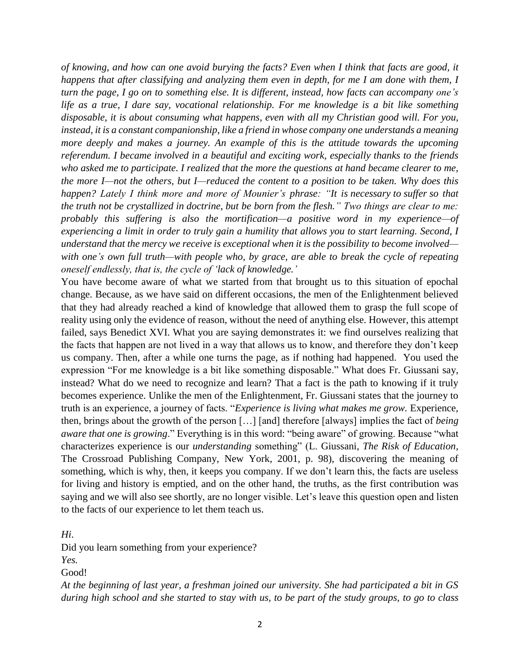*of knowing, and how can one avoid burying the facts? Even when I think that facts are good, it happens that after classifying and analyzing them even in depth, for me I am done with them, I turn the page, I go on to something else. It is different, instead, how facts can accompany one's life as a true, I dare say, vocational relationship. For me knowledge is a bit like something disposable, it is about consuming what happens, even with all my Christian good will. For you, instead, it is a constant companionship, like a friend in whose company one understands a meaning more deeply and makes a journey. An example of this is the attitude towards the upcoming referendum. I became involved in a beautiful and exciting work, especially thanks to the friends who asked me to participate. I realized that the more the questions at hand became clearer to me, the more I—not the others, but I—reduced the content to a position to be taken. Why does this happen? Lately I think more and more of Mounier's phrase: "It is necessary to suffer so that the truth not be crystallized in doctrine*, *but be born from the flesh." Two things are clear to me: probably this suffering is also the mortification—a positive word in my experience—of experiencing a limit in order to truly gain a humility that allows you to start learning. Second, I understand that the mercy we receive is exceptional when it is the possibility to become involved with one's own full truth—with people who, by grace, are able to break the cycle of repeating oneself endlessly, that is, the cycle of 'lack of knowledge.'*

You have become aware of what we started from that brought us to this situation of epochal change. Because, as we have said on different occasions, the men of the Enlightenment believed that they had already reached a kind of knowledge that allowed them to grasp the full scope of reality using only the evidence of reason, without the need of anything else. However, this attempt failed, says Benedict XVI. What you are saying demonstrates it: we find ourselves realizing that the facts that happen are not lived in a way that allows us to know, and therefore they don't keep us company. Then, after a while one turns the page, as if nothing had happened. You used the expression "For me knowledge is a bit like something disposable." What does Fr. Giussani say, instead? What do we need to recognize and learn? That a fact is the path to knowing if it truly becomes experience. Unlike the men of the Enlightenment, Fr. Giussani states that the journey to truth is an experience, a journey of facts. "*Experience is living what makes me grow.* Experience, then, brings about the growth of the person […] [and] therefore [always] implies the fact of *being aware that one is growing*." Everything is in this word: "being aware" of growing. Because "what characterizes experience is our *understanding* something" (L. Giussani, *The Risk of Education,*  The Crossroad Publishing Company, New York, 2001, p. 98), discovering the meaning of something, which is why, then, it keeps you company. If we don't learn this, the facts are useless for living and history is emptied, and on the other hand, the truths, as the first contribution was saying and we will also see shortly, are no longer visible. Let's leave this question open and listen to the facts of our experience to let them teach us.

*Hi*. Did you learn something from your experience? *Yes.* Good! *At the beginning of last year, a freshman joined our university. She had participated a bit in GS* 

*during high school and she started to stay with us, to be part of the study groups, to go to class*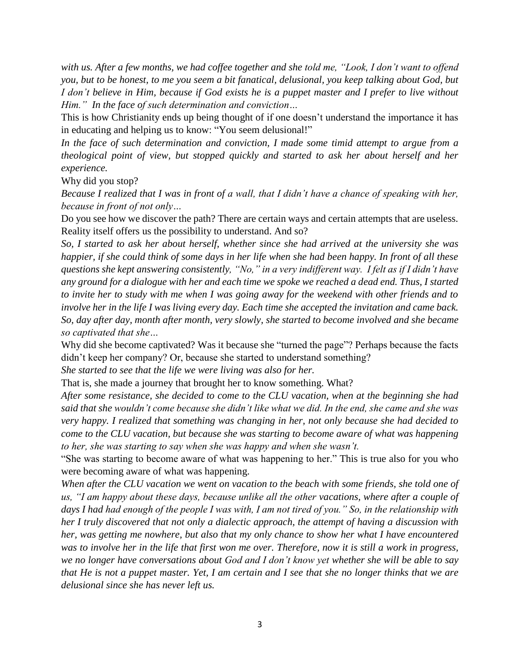*with us. After a few months, we had coffee together and she told me, "Look, I don't want to offend you, but to be honest, to me you seem a bit fanatical, delusional, you keep talking about God, but I don't believe in Him, because if God exists he is a puppet master and I prefer to live without Him." In the face of such determination and conviction…*

This is how Christianity ends up being thought of if one doesn't understand the importance it has in educating and helping us to know: "You seem delusional!"

*In the face of such determination and conviction, I made some timid attempt to argue from a theological point of view, but stopped quickly and started to ask her about herself and her experience.*

Why did you stop?

*Because I realized that I was in front of a wall, that I didn't have a chance of speaking with her, because in front of not only…*

Do you see how we discover the path? There are certain ways and certain attempts that are useless. Reality itself offers us the possibility to understand. And so?

*So, I started to ask her about herself, whether since she had arrived at the university she was happier, if she could think of some days in her life when she had been happy. In front of all these questions she kept answering consistently, "No," in a very indifferent way. I felt as if I didn't have any ground for a dialogue with her and each time we spoke we reached a dead end. Thus, I started to invite her to study with me when I was going away for the weekend with other friends and to involve her in the life I was living every day. Each time she accepted the invitation and came back. So, day after day, month after month, very slowly, she started to become involved and she became so captivated that she…*

Why did she become captivated? Was it because she "turned the page"? Perhaps because the facts didn't keep her company? Or, because she started to understand something?

*She started to see that the life we were living was also for her.*

That is, she made a journey that brought her to know something. What?

*After some resistance, she decided to come to the CLU vacation, when at the beginning she had said that she wouldn't come because she didn't like what we did. In the end, she came and she was very happy. I realized that something was changing in her, not only because she had decided to come to the CLU vacation, but because she was starting to become aware of what was happening to her, she was starting to say when she was happy and when she wasn't.*

"She was starting to become aware of what was happening to her." This is true also for you who were becoming aware of what was happening.

*When after the CLU vacation we went on vacation to the beach with some friends, she told one of us, "I am happy about these days, because unlike all the other vacations, where after a couple of days I had had enough of the people I was with, I am not tired of you." So, in the relationship with her I truly discovered that not only a dialectic approach, the attempt of having a discussion with her, was getting me nowhere, but also that my only chance to show her what I have encountered was to involve her in the life that first won me over. Therefore, now it is still a work in progress, we no longer have conversations about God and I don't know yet whether she will be able to say that He is not a puppet master. Yet, I am certain and I see that she no longer thinks that we are delusional since she has never left us.*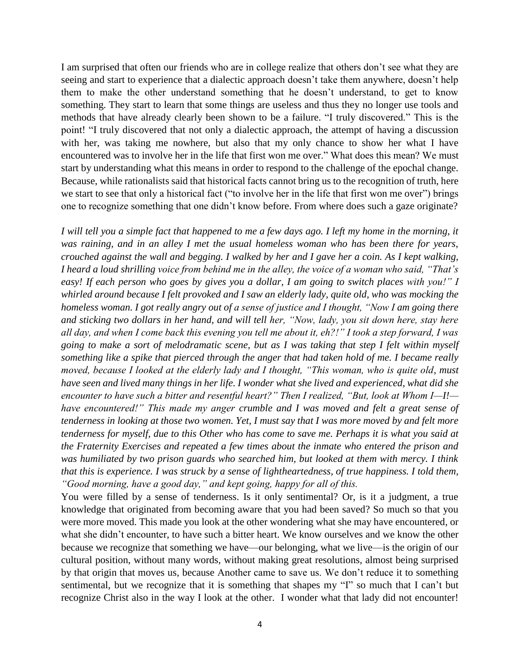I am surprised that often our friends who are in college realize that others don't see what they are seeing and start to experience that a dialectic approach doesn't take them anywhere, doesn't help them to make the other understand something that he doesn't understand, to get to know something. They start to learn that some things are useless and thus they no longer use tools and methods that have already clearly been shown to be a failure. "I truly discovered." This is the point! "I truly discovered that not only a dialectic approach, the attempt of having a discussion with her, was taking me nowhere, but also that my only chance to show her what I have encountered was to involve her in the life that first won me over." What does this mean? We must start by understanding what this means in order to respond to the challenge of the epochal change. Because, while rationalists said that historical facts cannot bring us to the recognition of truth, here we start to see that only a historical fact ("to involve her in the life that first won me over") brings one to recognize something that one didn't know before. From where does such a gaze originate?

*I will tell you a simple fact that happened to me a few days ago. I left my home in the morning, it was raining, and in an alley I met the usual homeless woman who has been there for years, crouched against the wall and begging. I walked by her and I gave her a coin. As I kept walking, I heard a loud shrilling voice from behind me in the alley, the voice of a woman who said, "That's easy! If each person who goes by gives you a dollar, I am going to switch places with you!" I whirled around because I felt provoked and I saw an elderly lady, quite old, who was mocking the homeless woman. I got really angry out of a sense of justice and I thought, "Now I am going there and sticking two dollars in her hand, and will tell her, "Now, lady, you sit down here, stay here all day, and when I come back this evening you tell me about it, eh?!" I took a step forward, I was going to make a sort of melodramatic scene, but as I was taking that step I felt within myself something like a spike that pierced through the anger that had taken hold of me. I became really moved, because I looked at the elderly lady and I thought, "This woman, who is quite old, must have seen and lived many things in her life. I wonder what she lived and experienced, what did she encounter to have such a bitter and resentful heart?" Then I realized, "But, look at Whom I—I! have encountered!" This made my anger crumble and I was moved and felt a great sense of tenderness in looking at those two women. Yet, I must say that I was more moved by and felt more tenderness for myself, due to this Other who has come to save me. Perhaps it is what you said at the Fraternity Exercises and repeated a few times about the inmate who entered the prison and was humiliated by two prison guards who searched him, but looked at them with mercy. I think that this is experience. I was struck by a sense of lightheartedness, of true happiness. I told them, "Good morning, have a good day," and kept going, happy for all of this.*

You were filled by a sense of tenderness. Is it only sentimental? Or, is it a judgment, a true knowledge that originated from becoming aware that you had been saved? So much so that you were more moved. This made you look at the other wondering what she may have encountered, or what she didn't encounter, to have such a bitter heart. We know ourselves and we know the other because we recognize that something we have—our belonging, what we live—is the origin of our cultural position, without many words, without making great resolutions, almost being surprised by that origin that moves us, because Another came to save us. We don't reduce it to something sentimental, but we recognize that it is something that shapes my "I" so much that I can't but recognize Christ also in the way I look at the other. I wonder what that lady did not encounter!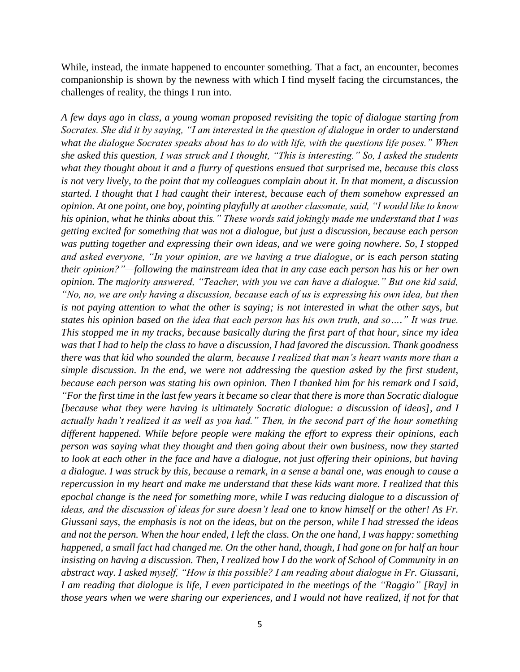While, instead, the inmate happened to encounter something. That a fact, an encounter, becomes companionship is shown by the newness with which I find myself facing the circumstances, the challenges of reality, the things I run into.

*A few days ago in class, a young woman proposed revisiting the topic of dialogue starting from Socrates. She did it by saying, "I am interested in the question of dialogue in order to understand what the dialogue Socrates speaks about has to do with life, with the questions life poses." When she asked this question, I was struck and I thought, "This is interesting." So, I asked the students what they thought about it and a flurry of questions ensued that surprised me, because this class is not very lively, to the point that my colleagues complain about it. In that moment, a discussion started. I thought that I had caught their interest, because each of them somehow expressed an opinion. At one point, one boy, pointing playfully at another classmate, said, "I would like to know his opinion, what he thinks about this." These words said jokingly made me understand that I was getting excited for something that was not a dialogue, but just a discussion, because each person was putting together and expressing their own ideas, and we were going nowhere. So, I stopped and asked everyone, "In your opinion, are we having a true dialogue, or is each person stating their opinion?"—following the mainstream idea that in any case each person has his or her own opinion. The majority answered, "Teacher, with you we can have a dialogue." But one kid said, "No, no, we are only having a discussion, because each of us is expressing his own idea, but then is not paying attention to what the other is saying; is not interested in what the other says, but states his opinion based on the idea that each person has his own truth, and so…." It was true. This stopped me in my tracks, because basically during the first part of that hour, since my idea was that I had to help the class to have a discussion, I had favored the discussion. Thank goodness there was that kid who sounded the alarm, because I realized that man's heart wants more than a simple discussion. In the end, we were not addressing the question asked by the first student, because each person was stating his own opinion. Then I thanked him for his remark and I said, "For the first time in the last few years it became so clear that there is more than Socratic dialogue [because what they were having is ultimately Socratic dialogue: a discussion of ideas], and I actually hadn't realized it as well as you had." Then, in the second part of the hour something different happened. While before people were making the effort to express their opinions, each person was saying what they thought and then going about their own business, now they started to look at each other in the face and have a dialogue, not just offering their opinions, but having a dialogue. I was struck by this, because a remark, in a sense a banal one, was enough to cause a repercussion in my heart and make me understand that these kids want more. I realized that this epochal change is the need for something more, while I was reducing dialogue to a discussion of ideas, and the discussion of ideas for sure doesn't lead one to know himself or the other! As Fr. Giussani says, the emphasis is not on the ideas, but on the person, while I had stressed the ideas and not the person. When the hour ended, I left the class. On the one hand, I was happy: something happened, a small fact had changed me. On the other hand, though, I had gone on for half an hour insisting on having a discussion. Then, I realized how I do the work of School of Community in an abstract way. I asked myself, "How is this possible? I am reading about dialogue in Fr. Giussani, I am reading that dialogue is life, I even participated in the meetings of the "Raggio" [Ray] in those years when we were sharing our experiences, and I would not have realized, if not for that*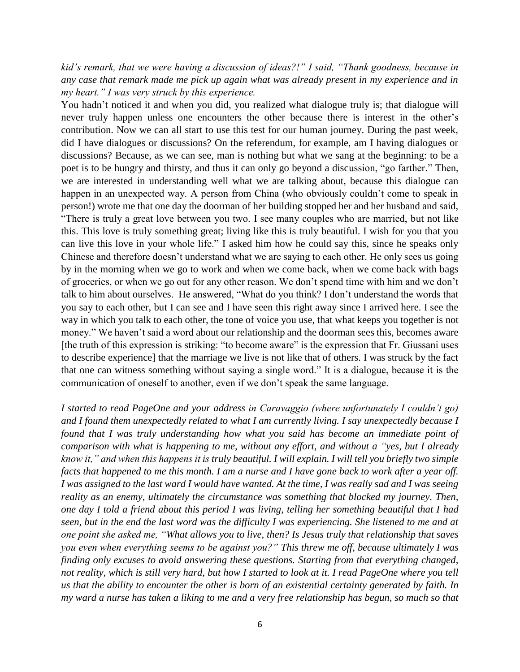*kid's remark, that we were having a discussion of ideas?!" I said, "Thank goodness, because in any case that remark made me pick up again what was already present in my experience and in my heart." I was very struck by this experience.*

You hadn't noticed it and when you did, you realized what dialogue truly is; that dialogue will never truly happen unless one encounters the other because there is interest in the other's contribution. Now we can all start to use this test for our human journey. During the past week, did I have dialogues or discussions? On the referendum, for example, am I having dialogues or discussions? Because, as we can see, man is nothing but what we sang at the beginning: to be a poet is to be hungry and thirsty, and thus it can only go beyond a discussion, "go farther." Then, we are interested in understanding well what we are talking about, because this dialogue can happen in an unexpected way. A person from China (who obviously couldn't come to speak in person!) wrote me that one day the doorman of her building stopped her and her husband and said, "There is truly a great love between you two. I see many couples who are married, but not like this. This love is truly something great; living like this is truly beautiful. I wish for you that you can live this love in your whole life." I asked him how he could say this, since he speaks only Chinese and therefore doesn't understand what we are saying to each other. He only sees us going by in the morning when we go to work and when we come back, when we come back with bags of groceries, or when we go out for any other reason. We don't spend time with him and we don't talk to him about ourselves. He answered, "What do you think? I don't understand the words that you say to each other, but I can see and I have seen this right away since I arrived here. I see the way in which you talk to each other, the tone of voice you use, that what keeps you together is not money." We haven't said a word about our relationship and the doorman sees this, becomes aware [the truth of this expression is striking: "to become aware" is the expression that Fr. Giussani uses to describe experience] that the marriage we live is not like that of others. I was struck by the fact that one can witness something without saying a single word." It is a dialogue, because it is the communication of oneself to another, even if we don't speak the same language.

*I started to read PageOne and your address in Caravaggio (where unfortunately I couldn't go) and I found them unexpectedly related to what I am currently living. I say unexpectedly because I found that I was truly understanding how what you said has become an immediate point of comparison with what is happening to me, without any effort, and without a "yes, but I already know it," and when this happens it is truly beautiful. I will explain. I will tell you briefly two simple facts that happened to me this month. I am a nurse and I have gone back to work after a year off. I was assigned to the last ward I would have wanted. At the time, I was really sad and I was seeing reality as an enemy, ultimately the circumstance was something that blocked my journey. Then, one day I told a friend about this period I was living, telling her something beautiful that I had seen, but in the end the last word was the difficulty I was experiencing. She listened to me and at one point she asked me, "What allows you to live, then? Is Jesus truly that relationship that saves you even when everything seems to be against you?" This threw me off, because ultimately I was finding only excuses to avoid answering these questions. Starting from that everything changed, not reality, which is still very hard, but how I started to look at it. I read PageOne where you tell us that the ability to encounter the other is born of an existential certainty generated by faith. In my ward a nurse has taken a liking to me and a very free relationship has begun, so much so that*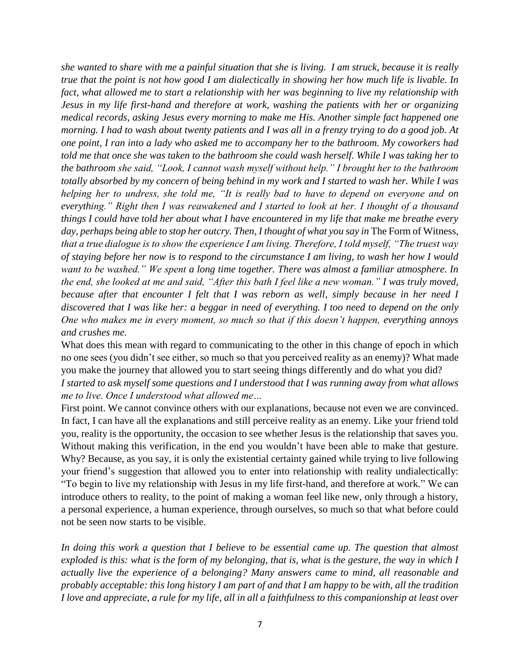*she wanted to share with me a painful situation that she is living. I am struck, because it is really true that the point is not how good I am dialectically in showing her how much life is livable. In fact, what allowed me to start a relationship with her was beginning to live my relationship with Jesus in my life first-hand and therefore at work, washing the patients with her or organizing medical records, asking Jesus every morning to make me His. Another simple fact happened one morning. I had to wash about twenty patients and I was all in a frenzy trying to do a good job. At one point, I ran into a lady who asked me to accompany her to the bathroom. My coworkers had told me that once she was taken to the bathroom she could wash herself. While I was taking her to the bathroom she said, "Look, I cannot wash myself without help." I brought her to the bathroom totally absorbed by my concern of being behind in my work and I started to wash her. While I was helping her to undress, she told me, "It is really bad to have to depend on everyone and on everything." Right then I was reawakened and I started to look at her. I thought of a thousand things I could have told her about what I have encountered in my life that make me breathe every day, perhaps being able to stop her outcry. Then, I thought of what you say in* The Form of Witness, *that a true dialogue is to show the experience I am living. Therefore, I told myself, "The truest way of staying before her now is to respond to the circumstance I am living, to wash her how I would want to be washed." We spent a long time together. There was almost a familiar atmosphere. In the end, she looked at me and said, "After this bath I feel like a new woman." I was truly moved, because after that encounter I felt that I was reborn as well, simply because in her need I discovered that I was like her: a beggar in need of everything. I too need to depend on the only One who makes me in every moment, so much so that if this doesn't happen, everything annoys and crushes me.*

What does this mean with regard to communicating to the other in this change of epoch in which no one sees (you didn't see either, so much so that you perceived reality as an enemy)? What made you make the journey that allowed you to start seeing things differently and do what you did? *I started to ask myself some questions and I understood that I was running away from what allows me to live. Once I understood what allowed me…*

First point. We cannot convince others with our explanations, because not even we are convinced. In fact, I can have all the explanations and still perceive reality as an enemy. Like your friend told you, reality is the opportunity, the occasion to see whether Jesus is the relationship that saves you. Without making this verification, in the end you wouldn't have been able to make that gesture. Why? Because, as you say, it is only the existential certainty gained while trying to live following your friend's suggestion that allowed you to enter into relationship with reality undialectically: "To begin to live my relationship with Jesus in my life first-hand, and therefore at work." We can introduce others to reality, to the point of making a woman feel like new, only through a history, a personal experience, a human experience, through ourselves, so much so that what before could not be seen now starts to be visible.

*In doing this work a question that I believe to be essential came up. The question that almost exploded is this: what is the form of my belonging, that is, what is the gesture, the way in which I actually live the experience of a belonging? Many answers came to mind, all reasonable and probably acceptable: this long history I am part of and that I am happy to be with, all the tradition I love and appreciate, a rule for my life, all in all a faithfulness to this companionship at least over*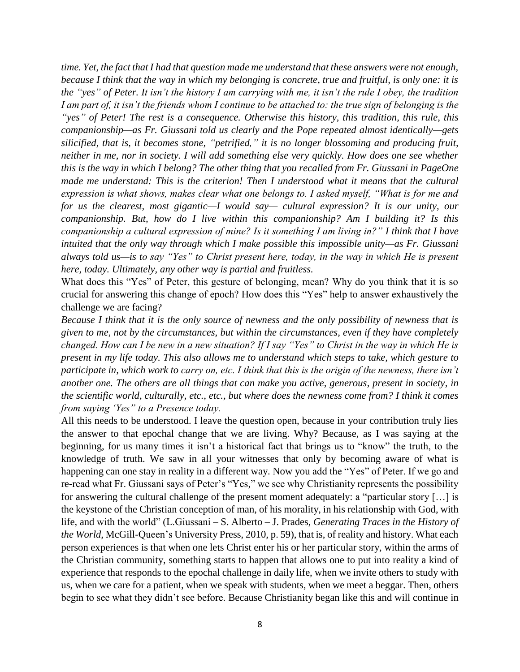*time. Yet, the fact that I had that question made me understand that these answers were not enough, because I think that the way in which my belonging is concrete, true and fruitful, is only one: it is the "yes" of Peter. It isn't the history I am carrying with me, it isn't the rule I obey, the tradition I am part of, it isn't the friends whom I continue to be attached to: the true sign of belonging is the "yes" of Peter! The rest is a consequence. Otherwise this history, this tradition, this rule, this companionship—as Fr. Giussani told us clearly and the Pope repeated almost identically—gets silicified, that is, it becomes stone, "petrified," it is no longer blossoming and producing fruit, neither in me, nor in society. I will add something else very quickly. How does one see whether this is the way in which I belong? The other thing that you recalled from Fr. Giussani in PageOne made me understand: This is the criterion! Then I understood what it means that the cultural expression is what shows, makes clear what one belongs to. I asked myself, "What is for me and for us the clearest, most gigantic—I would say— cultural expression? It is our unity, our companionship. But, how do I live within this companionship? Am I building it? Is this companionship a cultural expression of mine? Is it something I am living in?" I think that I have intuited that the only way through which I make possible this impossible unity—as Fr. Giussani always told us—is to say "Yes" to Christ present here, today, in the way in which He is present here, today. Ultimately, any other way is partial and fruitless.*

What does this "Yes" of Peter, this gesture of belonging, mean? Why do you think that it is so crucial for answering this change of epoch? How does this "Yes" help to answer exhaustively the challenge we are facing?

*Because I think that it is the only source of newness and the only possibility of newness that is given to me, not by the circumstances, but within the circumstances, even if they have completely changed. How can I be new in a new situation? If I say "Yes" to Christ in the way in which He is present in my life today. This also allows me to understand which steps to take, which gesture to participate in, which work to carry on, etc. I think that this is the origin of the newness, there isn't another one. The others are all things that can make you active, generous, present in society, in the scientific world, culturally, etc., etc., but where does the newness come from? I think it comes from saying 'Yes" to a Presence today.*

All this needs to be understood. I leave the question open, because in your contribution truly lies the answer to that epochal change that we are living. Why? Because, as I was saying at the beginning, for us many times it isn't a historical fact that brings us to "know" the truth, to the knowledge of truth. We saw in all your witnesses that only by becoming aware of what is happening can one stay in reality in a different way. Now you add the "Yes" of Peter. If we go and re-read what Fr. Giussani says of Peter's "Yes," we see why Christianity represents the possibility for answering the cultural challenge of the present moment adequately: a "particular story […] is the keystone of the Christian conception of man, of his morality, in his relationship with God, with life, and with the world" (L.Giussani – S. Alberto – J. Prades, *Generating Traces in the History of the World*, McGill-Queen's University Press, 2010, p. 59), that is, of reality and history. What each person experiences is that when one lets Christ enter his or her particular story, within the arms of the Christian community, something starts to happen that allows one to put into reality a kind of experience that responds to the epochal challenge in daily life, when we invite others to study with us, when we care for a patient, when we speak with students, when we meet a beggar. Then, others begin to see what they didn't see before. Because Christianity began like this and will continue in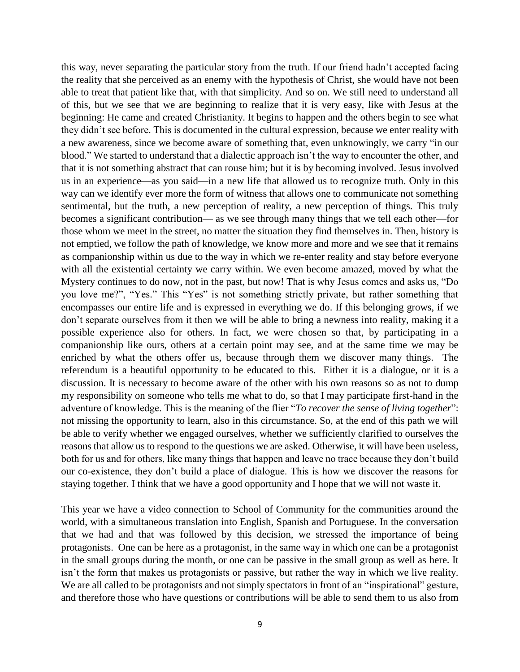this way, never separating the particular story from the truth. If our friend hadn't accepted facing the reality that she perceived as an enemy with the hypothesis of Christ, she would have not been able to treat that patient like that, with that simplicity. And so on. We still need to understand all of this, but we see that we are beginning to realize that it is very easy, like with Jesus at the beginning: He came and created Christianity. It begins to happen and the others begin to see what they didn't see before. This is documented in the cultural expression, because we enter reality with a new awareness, since we become aware of something that, even unknowingly, we carry "in our blood." We started to understand that a dialectic approach isn't the way to encounter the other, and that it is not something abstract that can rouse him; but it is by becoming involved. Jesus involved us in an experience—as you said—in a new life that allowed us to recognize truth. Only in this way can we identify ever more the form of witness that allows one to communicate not something sentimental, but the truth, a new perception of reality, a new perception of things. This truly becomes a significant contribution— as we see through many things that we tell each other—for those whom we meet in the street, no matter the situation they find themselves in. Then, history is not emptied, we follow the path of knowledge, we know more and more and we see that it remains as companionship within us due to the way in which we re-enter reality and stay before everyone with all the existential certainty we carry within. We even become amazed, moved by what the Mystery continues to do now, not in the past, but now! That is why Jesus comes and asks us, "Do you love me?", "Yes." This "Yes" is not something strictly private, but rather something that encompasses our entire life and is expressed in everything we do. If this belonging grows, if we don't separate ourselves from it then we will be able to bring a newness into reality, making it a possible experience also for others. In fact, we were chosen so that, by participating in a companionship like ours, others at a certain point may see, and at the same time we may be enriched by what the others offer us, because through them we discover many things. The referendum is a beautiful opportunity to be educated to this. Either it is a dialogue, or it is a discussion. It is necessary to become aware of the other with his own reasons so as not to dump my responsibility on someone who tells me what to do, so that I may participate first-hand in the adventure of knowledge. This is the meaning of the flier "*To recover the sense of living together*": not missing the opportunity to learn, also in this circumstance. So, at the end of this path we will be able to verify whether we engaged ourselves, whether we sufficiently clarified to ourselves the reasons that allow us to respond to the questions we are asked. Otherwise, it will have been useless, both for us and for others, like many things that happen and leave no trace because they don't build our co-existence, they don't build a place of dialogue. This is how we discover the reasons for staying together. I think that we have a good opportunity and I hope that we will not waste it.

This year we have a video connection to School of Community for the communities around the world, with a simultaneous translation into English, Spanish and Portuguese. In the conversation that we had and that was followed by this decision, we stressed the importance of being protagonists. One can be here as a protagonist, in the same way in which one can be a protagonist in the small groups during the month, or one can be passive in the small group as well as here. It isn't the form that makes us protagonists or passive, but rather the way in which we live reality. We are all called to be protagonists and not simply spectators in front of an "inspirational" gesture, and therefore those who have questions or contributions will be able to send them to us also from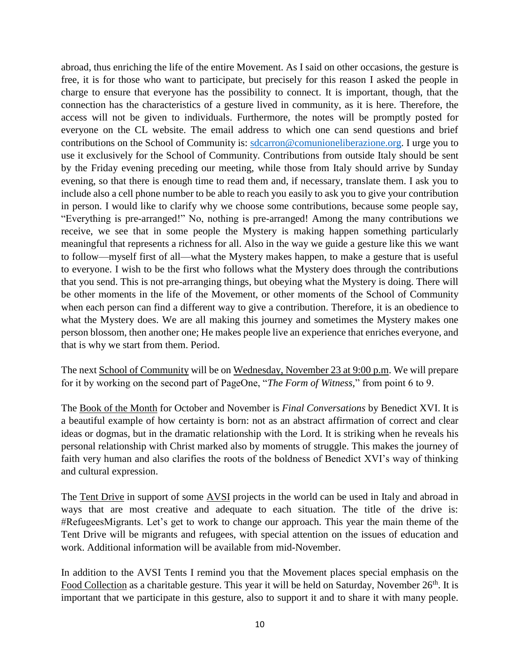abroad, thus enriching the life of the entire Movement. As I said on other occasions, the gesture is free, it is for those who want to participate, but precisely for this reason I asked the people in charge to ensure that everyone has the possibility to connect. It is important, though, that the connection has the characteristics of a gesture lived in community, as it is here. Therefore, the access will not be given to individuals. Furthermore, the notes will be promptly posted for everyone on the CL website. The email address to which one can send questions and brief contributions on the School of Community is: [sdcarron@comunioneliberazione.org.](mailto:sdcarron@comunioneliberazione.org) I urge you to use it exclusively for the School of Community. Contributions from outside Italy should be sent by the Friday evening preceding our meeting, while those from Italy should arrive by Sunday evening, so that there is enough time to read them and, if necessary, translate them. I ask you to include also a cell phone number to be able to reach you easily to ask you to give your contribution in person. I would like to clarify why we choose some contributions, because some people say, "Everything is pre-arranged!" No, nothing is pre-arranged! Among the many contributions we receive, we see that in some people the Mystery is making happen something particularly meaningful that represents a richness for all. Also in the way we guide a gesture like this we want to follow—myself first of all—what the Mystery makes happen, to make a gesture that is useful to everyone. I wish to be the first who follows what the Mystery does through the contributions that you send. This is not pre-arranging things, but obeying what the Mystery is doing. There will be other moments in the life of the Movement, or other moments of the School of Community when each person can find a different way to give a contribution. Therefore, it is an obedience to what the Mystery does. We are all making this journey and sometimes the Mystery makes one person blossom, then another one; He makes people live an experience that enriches everyone, and that is why we start from them. Period.

The next School of Community will be on Wednesday, November 23 at 9:00 p.m. We will prepare for it by working on the second part of PageOne, "*The Form of Witness,*" from point 6 to 9.

The Book of the Month for October and November is *Final Conversations* by Benedict XVI. It is a beautiful example of how certainty is born: not as an abstract affirmation of correct and clear ideas or dogmas, but in the dramatic relationship with the Lord. It is striking when he reveals his personal relationship with Christ marked also by moments of struggle. This makes the journey of faith very human and also clarifies the roots of the boldness of Benedict XVI's way of thinking and cultural expression.

The Tent Drive in support of some **AVSI** projects in the world can be used in Italy and abroad in ways that are most creative and adequate to each situation. The title of the drive is: #RefugeesMigrants. Let's get to work to change our approach. This year the main theme of the Tent Drive will be migrants and refugees, with special attention on the issues of education and work. Additional information will be available from mid-November.

In addition to the AVSI Tents I remind you that the Movement places special emphasis on the Food Collection as a charitable gesture. This year it will be held on Saturday, November 26<sup>th</sup>. It is important that we participate in this gesture, also to support it and to share it with many people.